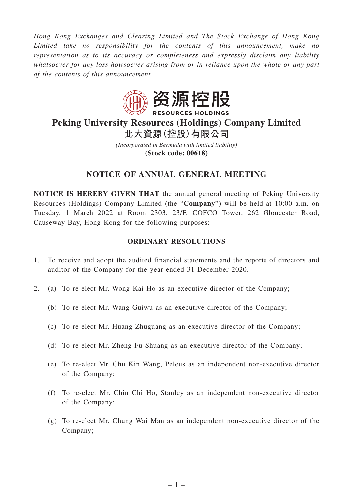*Hong Kong Exchanges and Clearing Limited and The Stock Exchange of Hong Kong Limited take no responsibility for the contents of this announcement, make no representation as to its accuracy or completeness and expressly disclaim any liability whatsoever for any loss howsoever arising from or in reliance upon the whole or any part of the contents of this announcement.*



# **Peking University Resources (Holdings) Company Limited 北大資源(控股)有限公司**

*(Incorporated in Bermuda with limited liability)* **(Stock code: 00618)**

## **NOTICE OF ANNUAL GENERAL MEETING**

**NOTICE IS HEREBY GIVEN THAT** the annual general meeting of Peking University Resources (Holdings) Company Limited (the "**Company**") will be held at 10:00 a.m. on Tuesday, 1 March 2022 at Room 2303, 23/F, COFCO Tower, 262 Gloucester Road, Causeway Bay, Hong Kong for the following purposes:

#### **ORDINARY RESOLUTIONS**

- 1. To receive and adopt the audited financial statements and the reports of directors and auditor of the Company for the year ended 31 December 2020.
- 2. (a) To re-elect Mr. Wong Kai Ho as an executive director of the Company;
	- (b) To re-elect Mr. Wang Guiwu as an executive director of the Company;
	- (c) To re-elect Mr. Huang Zhuguang as an executive director of the Company;
	- (d) To re-elect Mr. Zheng Fu Shuang as an executive director of the Company;
	- (e) To re-elect Mr. Chu Kin Wang, Peleus as an independent non-executive director of the Company;
	- (f) To re-elect Mr. Chin Chi Ho, Stanley as an independent non-executive director of the Company;
	- (g) To re-elect Mr. Chung Wai Man as an independent non-executive director of the Company;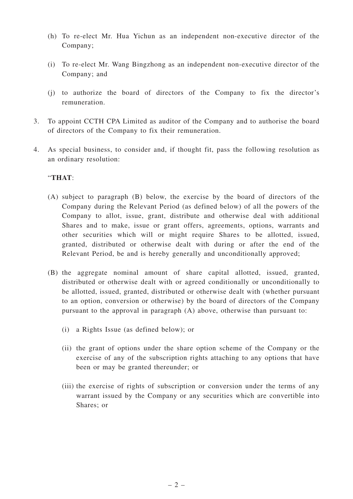- (h) To re-elect Mr. Hua Yichun as an independent non-executive director of the Company;
- (i) To re-elect Mr. Wang Bingzhong as an independent non-executive director of the Company; and
- (j) to authorize the board of directors of the Company to fix the director's remuneration.
- 3. To appoint CCTH CPA Limited as auditor of the Company and to authorise the board of directors of the Company to fix their remuneration.
- 4. As special business, to consider and, if thought fit, pass the following resolution as an ordinary resolution:

#### "**THAT**:

- (A) subject to paragraph (B) below, the exercise by the board of directors of the Company during the Relevant Period (as defined below) of all the powers of the Company to allot, issue, grant, distribute and otherwise deal with additional Shares and to make, issue or grant offers, agreements, options, warrants and other securities which will or might require Shares to be allotted, issued, granted, distributed or otherwise dealt with during or after the end of the Relevant Period, be and is hereby generally and unconditionally approved;
- (B) the aggregate nominal amount of share capital allotted, issued, granted, distributed or otherwise dealt with or agreed conditionally or unconditionally to be allotted, issued, granted, distributed or otherwise dealt with (whether pursuant to an option, conversion or otherwise) by the board of directors of the Company pursuant to the approval in paragraph (A) above, otherwise than pursuant to:
	- (i) a Rights Issue (as defined below); or
	- (ii) the grant of options under the share option scheme of the Company or the exercise of any of the subscription rights attaching to any options that have been or may be granted thereunder; or
	- (iii) the exercise of rights of subscription or conversion under the terms of any warrant issued by the Company or any securities which are convertible into Shares; or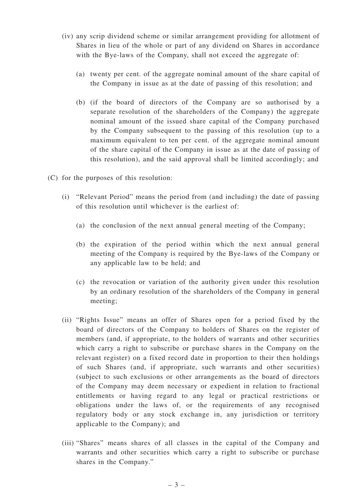- (iv) any scrip dividend scheme or similar arrangement providing for allotment of Shares in lieu of the whole or part of any dividend on Shares in accordance with the Bye-laws of the Company, shall not exceed the aggregate of:
	- (a) twenty per cent. of the aggregate nominal amount of the share capital of the Company in issue as at the date of passing of this resolution; and
	- (b) (if the board of directors of the Company are so authorised by a separate resolution of the shareholders of the Company) the aggregate nominal amount of the issued share capital of the Company purchased by the Company subsequent to the passing of this resolution (up to a maximum equivalent to ten per cent. of the aggregate nominal amount of the share capital of the Company in issue as at the date of passing of this resolution), and the said approval shall be limited accordingly; and
- (C) for the purposes of this resolution:
	- (i) "Relevant Period" means the period from (and including) the date of passing of this resolution until whichever is the earliest of:
		- (a) the conclusion of the next annual general meeting of the Company;
		- (b) the expiration of the period within which the next annual general meeting of the Company is required by the Bye-laws of the Company or any applicable law to be held; and
		- (c) the revocation or variation of the authority given under this resolution by an ordinary resolution of the shareholders of the Company in general meeting;
	- (ii) "Rights Issue" means an offer of Shares open for a period fixed by the board of directors of the Company to holders of Shares on the register of members (and, if appropriate, to the holders of warrants and other securities which carry a right to subscribe or purchase shares in the Company on the relevant register) on a fixed record date in proportion to their then holdings of such Shares (and, if appropriate, such warrants and other securities) (subject to such exclusions or other arrangements as the board of directors of the Company may deem necessary or expedient in relation to fractional entitlements or having regard to any legal or practical restrictions or obligations under the laws of, or the requirements of any recognised regulatory body or any stock exchange in, any jurisdiction or territory applicable to the Company); and
	- (iii) "Shares" means shares of all classes in the capital of the Company and warrants and other securities which carry a right to subscribe or purchase shares in the Company."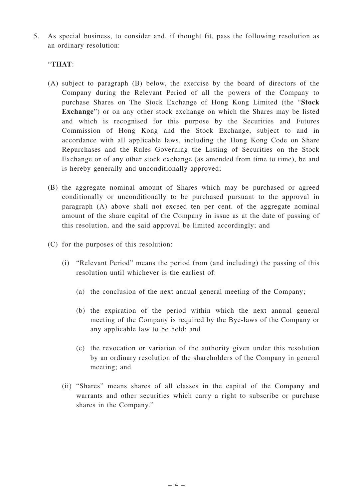5. As special business, to consider and, if thought fit, pass the following resolution as an ordinary resolution:

#### "**THAT**:

- (A) subject to paragraph (B) below, the exercise by the board of directors of the Company during the Relevant Period of all the powers of the Company to purchase Shares on The Stock Exchange of Hong Kong Limited (the "**Stock Exchange**") or on any other stock exchange on which the Shares may be listed and which is recognised for this purpose by the Securities and Futures Commission of Hong Kong and the Stock Exchange, subject to and in accordance with all applicable laws, including the Hong Kong Code on Share Repurchases and the Rules Governing the Listing of Securities on the Stock Exchange or of any other stock exchange (as amended from time to time), be and is hereby generally and unconditionally approved;
- (B) the aggregate nominal amount of Shares which may be purchased or agreed conditionally or unconditionally to be purchased pursuant to the approval in paragraph (A) above shall not exceed ten per cent. of the aggregate nominal amount of the share capital of the Company in issue as at the date of passing of this resolution, and the said approval be limited accordingly; and
- (C) for the purposes of this resolution:
	- (i) "Relevant Period" means the period from (and including) the passing of this resolution until whichever is the earliest of:
		- (a) the conclusion of the next annual general meeting of the Company;
		- (b) the expiration of the period within which the next annual general meeting of the Company is required by the Bye-laws of the Company or any applicable law to be held; and
		- (c) the revocation or variation of the authority given under this resolution by an ordinary resolution of the shareholders of the Company in general meeting; and
	- (ii) "Shares" means shares of all classes in the capital of the Company and warrants and other securities which carry a right to subscribe or purchase shares in the Company."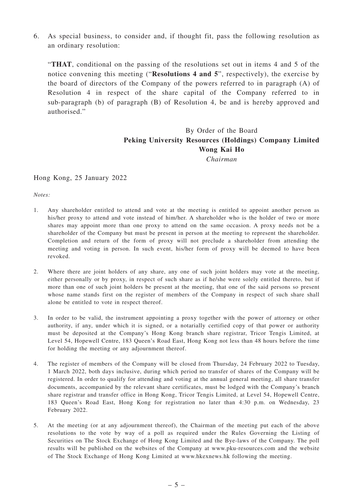6. As special business, to consider and, if thought fit, pass the following resolution as an ordinary resolution:

"**THAT**, conditional on the passing of the resolutions set out in items 4 and 5 of the notice convening this meeting ("**Resolutions 4 and 5**", respectively), the exercise by the board of directors of the Company of the powers referred to in paragraph (A) of Resolution 4 in respect of the share capital of the Company referred to in sub-paragraph (b) of paragraph (B) of Resolution 4, be and is hereby approved and authorised."

### By Order of the Board **Peking University Resources (Holdings) Company Limited Wong Kai Ho** *Chairman*

#### Hong Kong, 25 January 2022

*Notes:*

- 1. Any shareholder entitled to attend and vote at the meeting is entitled to appoint another person as his/her proxy to attend and vote instead of him/her. A shareholder who is the holder of two or more shares may appoint more than one proxy to attend on the same occasion. A proxy needs not be a shareholder of the Company but must be present in person at the meeting to represent the shareholder. Completion and return of the form of proxy will not preclude a shareholder from attending the meeting and voting in person. In such event, his/her form of proxy will be deemed to have been revoked.
- 2. Where there are joint holders of any share, any one of such joint holders may vote at the meeting, either personally or by proxy, in respect of such share as if he/she were solely entitled thereto, but if more than one of such joint holders be present at the meeting, that one of the said persons so present whose name stands first on the register of members of the Company in respect of such share shall alone be entitled to vote in respect thereof.
- 3. In order to be valid, the instrument appointing a proxy together with the power of attorney or other authority, if any, under which it is signed, or a notarially certified copy of that power or authority must be deposited at the Company's Hong Kong branch share registrar, Tricor Tengis Limited, at Level 54, Hopewell Centre, 183 Queen's Road East, Hong Kong not less than 48 hours before the time for holding the meeting or any adjournment thereof.
- 4. The register of members of the Company will be closed from Thursday, 24 February 2022 to Tuesday, 1 March 2022, both days inclusive, during which period no transfer of shares of the Company will be registered. In order to qualify for attending and voting at the annual general meeting, all share transfer documents, accompanied by the relevant share certificates, must be lodged with the Company's branch share registrar and transfer office in Hong Kong, Tricor Tengis Limited, at Level 54, Hopewell Centre, 183 Queen's Road East, Hong Kong for registration no later than 4:30 p.m. on Wednesday, 23 February 2022.
- 5. At the meeting (or at any adjournment thereof), the Chairman of the meeting put each of the above resolutions to the vote by way of a poll as required under the Rules Governing the Listing of Securities on The Stock Exchange of Hong Kong Limited and the Bye-laws of the Company. The poll results will be published on the websites of the Company at www.pku-resources.com and the website of The Stock Exchange of Hong Kong Limited at www.hkexnews.hk following the meeting.